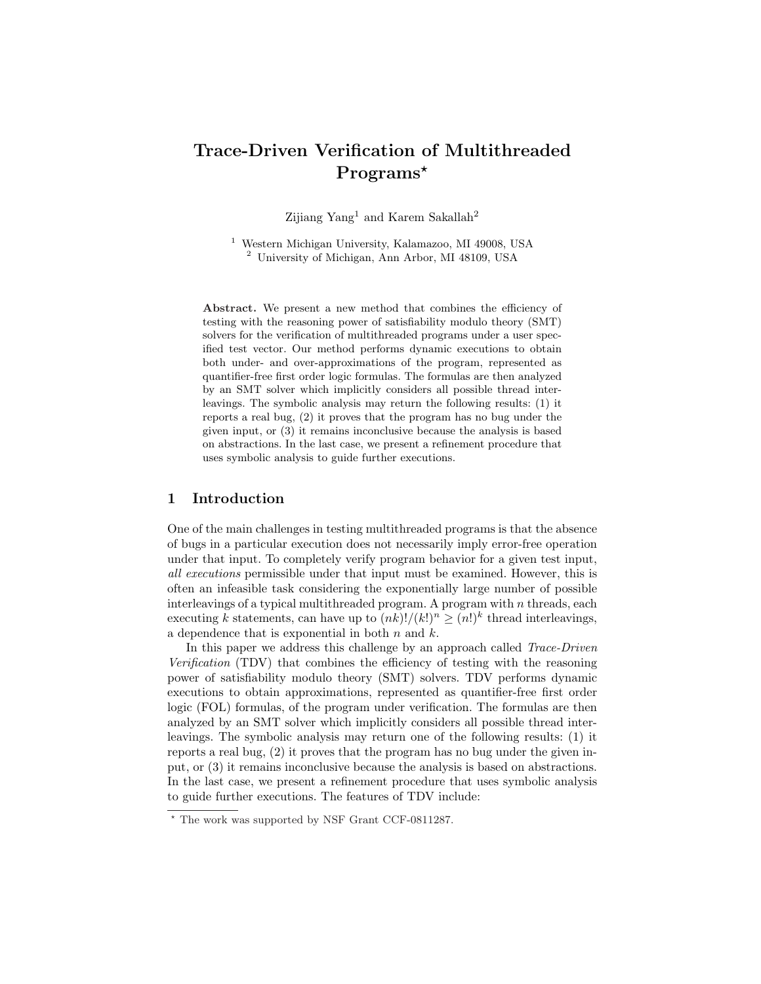# Trace-Driven Verification of Multithreaded Programs<sup>\*</sup>

Zijiang Yang<sup>1</sup> and Karem Sakallah<sup>2</sup>

<sup>1</sup> Western Michigan University, Kalamazoo, MI 49008, USA <sup>2</sup> University of Michigan, Ann Arbor, MI 48109, USA

Abstract. We present a new method that combines the efficiency of testing with the reasoning power of satisfiability modulo theory (SMT) solvers for the verification of multithreaded programs under a user specified test vector. Our method performs dynamic executions to obtain both under- and over-approximations of the program, represented as quantifier-free first order logic formulas. The formulas are then analyzed by an SMT solver which implicitly considers all possible thread interleavings. The symbolic analysis may return the following results: (1) it reports a real bug, (2) it proves that the program has no bug under the given input, or (3) it remains inconclusive because the analysis is based on abstractions. In the last case, we present a refinement procedure that uses symbolic analysis to guide further executions.

## 1 Introduction

One of the main challenges in testing multithreaded programs is that the absence of bugs in a particular execution does not necessarily imply error-free operation under that input. To completely verify program behavior for a given test input, all executions permissible under that input must be examined. However, this is often an infeasible task considering the exponentially large number of possible interleavings of a typical multithreaded program. A program with  $n$  threads, each executing k statements, can have up to  $(nk)!/(k!)^n \geq (n!)^k$  thread interleavings, a dependence that is exponential in both  $n$  and  $k$ .

In this paper we address this challenge by an approach called *Trace-Driven* Verification (TDV) that combines the efficiency of testing with the reasoning power of satisfiability modulo theory (SMT) solvers. TDV performs dynamic executions to obtain approximations, represented as quantifier-free first order logic (FOL) formulas, of the program under verification. The formulas are then analyzed by an SMT solver which implicitly considers all possible thread interleavings. The symbolic analysis may return one of the following results: (1) it reports a real bug, (2) it proves that the program has no bug under the given input, or (3) it remains inconclusive because the analysis is based on abstractions. In the last case, we present a refinement procedure that uses symbolic analysis to guide further executions. The features of TDV include:

<sup>?</sup> The work was supported by NSF Grant CCF-0811287.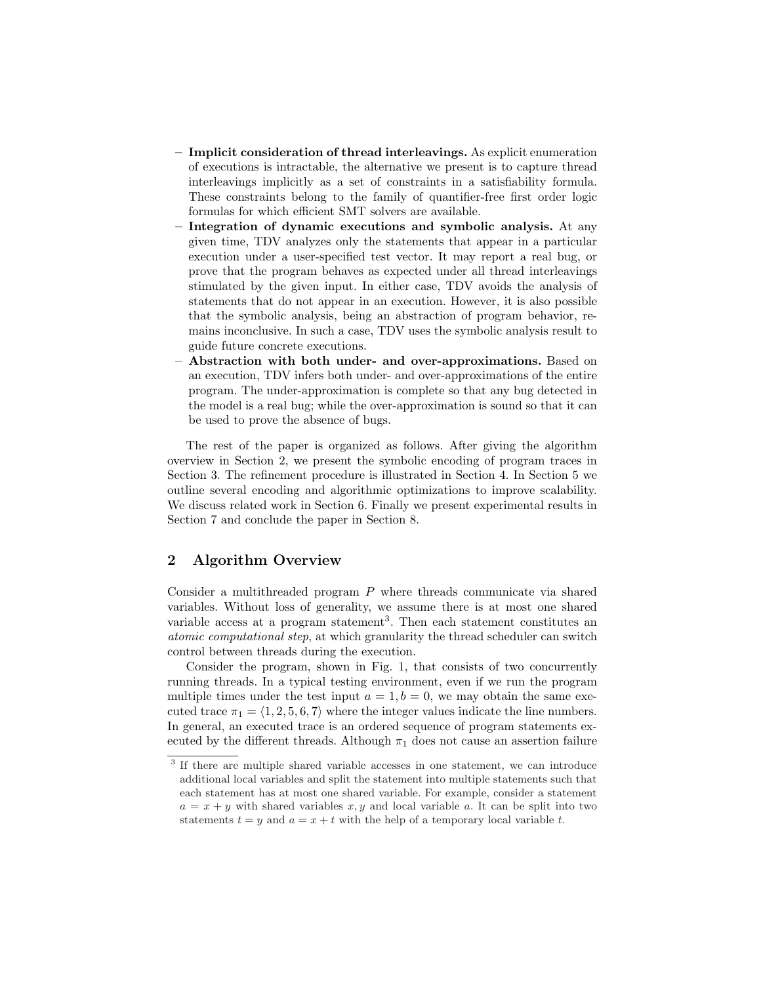- Implicit consideration of thread interleavings. As explicit enumeration of executions is intractable, the alternative we present is to capture thread interleavings implicitly as a set of constraints in a satisfiability formula. These constraints belong to the family of quantifier-free first order logic formulas for which efficient SMT solvers are available.
- Integration of dynamic executions and symbolic analysis. At any given time, TDV analyzes only the statements that appear in a particular execution under a user-specified test vector. It may report a real bug, or prove that the program behaves as expected under all thread interleavings stimulated by the given input. In either case, TDV avoids the analysis of statements that do not appear in an execution. However, it is also possible that the symbolic analysis, being an abstraction of program behavior, remains inconclusive. In such a case, TDV uses the symbolic analysis result to guide future concrete executions.
- Abstraction with both under- and over-approximations. Based on an execution, TDV infers both under- and over-approximations of the entire program. The under-approximation is complete so that any bug detected in the model is a real bug; while the over-approximation is sound so that it can be used to prove the absence of bugs.

The rest of the paper is organized as follows. After giving the algorithm overview in Section 2, we present the symbolic encoding of program traces in Section 3. The refinement procedure is illustrated in Section 4. In Section 5 we outline several encoding and algorithmic optimizations to improve scalability. We discuss related work in Section 6. Finally we present experimental results in Section 7 and conclude the paper in Section 8.

# 2 Algorithm Overview

Consider a multithreaded program P where threads communicate via shared variables. Without loss of generality, we assume there is at most one shared variable access at a program statement<sup>3</sup>. Then each statement constitutes an atomic computational step, at which granularity the thread scheduler can switch control between threads during the execution.

Consider the program, shown in Fig. 1, that consists of two concurrently running threads. In a typical testing environment, even if we run the program multiple times under the test input  $a = 1, b = 0$ , we may obtain the same executed trace  $\pi_1 = \langle 1, 2, 5, 6, 7 \rangle$  where the integer values indicate the line numbers. In general, an executed trace is an ordered sequence of program statements executed by the different threads. Although  $\pi_1$  does not cause an assertion failure

<sup>&</sup>lt;sup>3</sup> If there are multiple shared variable accesses in one statement, we can introduce additional local variables and split the statement into multiple statements such that each statement has at most one shared variable. For example, consider a statement  $a = x + y$  with shared variables x, y and local variable a. It can be split into two statements  $t = y$  and  $a = x + t$  with the help of a temporary local variable t.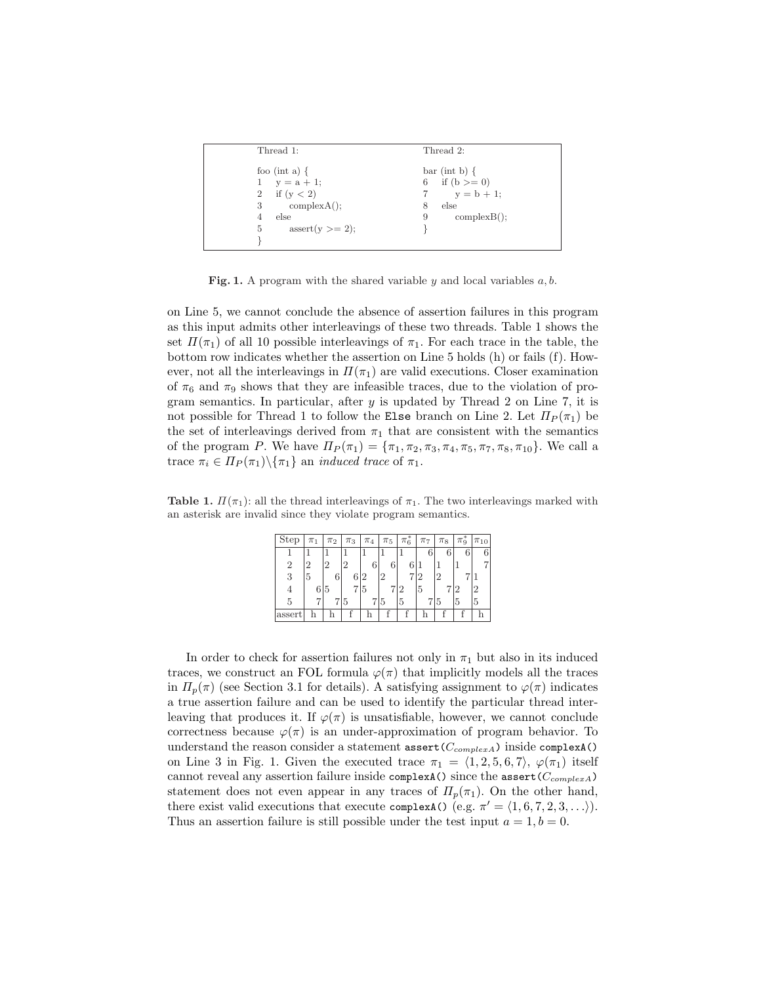| Thread 1:                      | Thread 2:        |
|--------------------------------|------------------|
| foo (int a) $\{$               | $bar(int b)$ {   |
| $y = a + 1$ ;<br>1             | 6 if $(b \ge 0)$ |
| if $(y < 2)$<br>$\overline{2}$ | $y = b + 1$ ;    |
| complexA();<br>3               | else<br>8        |
| else                           | complexB()<br>9  |
| $assert(v>=2);$<br>5           |                  |
|                                |                  |

Fig. 1. A program with the shared variable y and local variables  $a, b$ .

on Line 5, we cannot conclude the absence of assertion failures in this program as this input admits other interleavings of these two threads. Table 1 shows the set  $\Pi(\pi_1)$  of all 10 possible interleavings of  $\pi_1$ . For each trace in the table, the bottom row indicates whether the assertion on Line 5 holds (h) or fails (f). However, not all the interleavings in  $\Pi(\pi_1)$  are valid executions. Closer examination of  $\pi_6$  and  $\pi_9$  shows that they are infeasible traces, due to the violation of program semantics. In particular, after  $y$  is updated by Thread 2 on Line 7, it is not possible for Thread 1 to follow the Else branch on Line 2. Let  $\Pi_P(\pi_1)$  be the set of interleavings derived from  $\pi_1$  that are consistent with the semantics of the program P. We have  $\Pi_P(\pi_1) = {\pi_1, \pi_2, \pi_3, \pi_4, \pi_5, \pi_7, \pi_8, \pi_{10}}$ . We call a trace  $\pi_i \in \Pi_P(\pi_1) \setminus \{\pi_1\}$  an *induced trace* of  $\pi_1$ .

**Table 1.**  $\Pi(\pi_1)$ : all the thread interleavings of  $\pi_1$ . The two interleavings marked with an asterisk are invalid since they violate program semantics.

| Step           | $\pi_1$ | $\pi_2$        | $\pi_3$        | $\pi_4$ | $\pi_5$ | $\pi_6^*$ | $\pi_7$ | $\pi_8$ | $\pi_9^*$ | $\pi_{10}$ |
|----------------|---------|----------------|----------------|---------|---------|-----------|---------|---------|-----------|------------|
|                |         |                |                |         |         |           | 6       | 6       | 6         |            |
| $\overline{2}$ | 2       | $\overline{2}$ | $\mathfrak{D}$ | 6       |         |           |         |         |           |            |
| 3              | 5       | 6              |                |         | 2       |           | 2       | 2       |           |            |
| $\overline{4}$ | 6 5     |                |                | 715     |         | 12        | 15      |         |           |            |
| 5              |         |                | 715            |         | 5       | 5         |         | 15      | 5         | 5          |
| assert         |         |                |                |         |         |           |         |         |           |            |

In order to check for assertion failures not only in  $\pi_1$  but also in its induced traces, we construct an FOL formula  $\varphi(\pi)$  that implicitly models all the traces in  $\Pi_p(\pi)$  (see Section 3.1 for details). A satisfying assignment to  $\varphi(\pi)$  indicates a true assertion failure and can be used to identify the particular thread interleaving that produces it. If  $\varphi(\pi)$  is unsatisfiable, however, we cannot conclude correctness because  $\varphi(\pi)$  is an under-approximation of program behavior. To understand the reason consider a statement  $\text{assert}(C_{complexA})$  inside complexA() on Line 3 in Fig. 1. Given the executed trace  $\pi_1 = \langle 1, 2, 5, 6, 7 \rangle$ ,  $\varphi(\pi_1)$  itself cannot reveal any assertion failure inside complexA() since the assert( $C_{complexA}$ ) statement does not even appear in any traces of  $\Pi_p(\pi_1)$ . On the other hand, there exist valid executions that execute complexA() (e.g.  $\pi' = \langle 1, 6, 7, 2, 3, \ldots \rangle$ ). Thus an assertion failure is still possible under the test input  $a = 1, b = 0$ .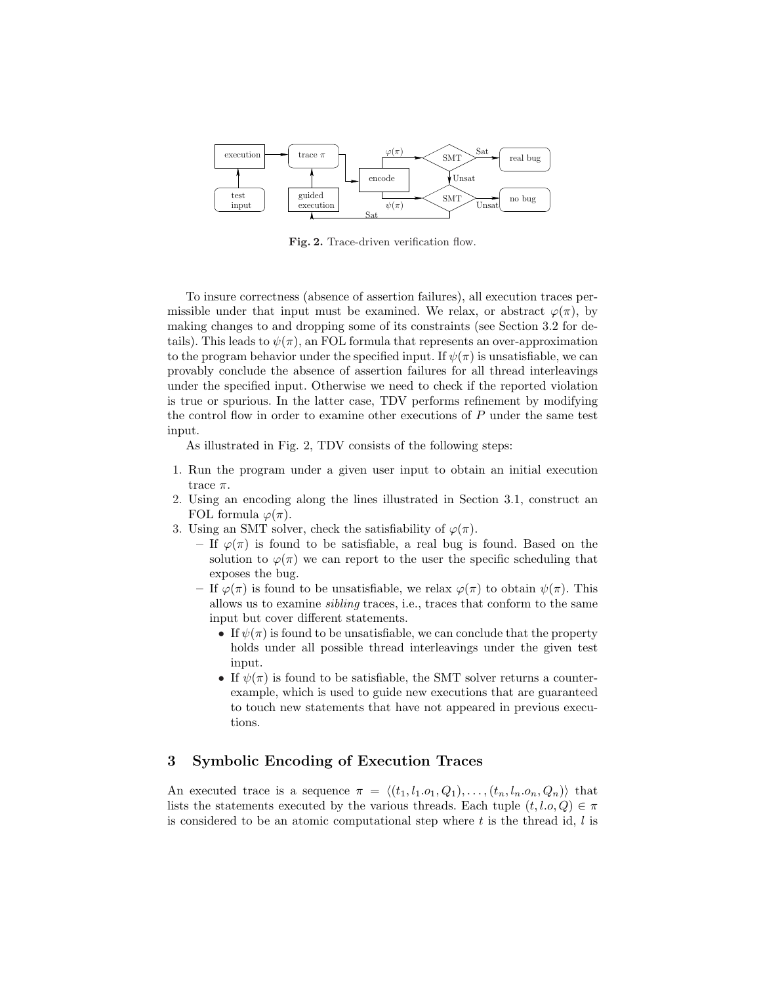

Fig. 2. Trace-driven verification flow.

To insure correctness (absence of assertion failures), all execution traces permissible under that input must be examined. We relax, or abstract  $\varphi(\pi)$ , by making changes to and dropping some of its constraints (see Section 3.2 for details). This leads to  $\psi(\pi)$ , an FOL formula that represents an over-approximation to the program behavior under the specified input. If  $\psi(\pi)$  is unsatisfiable, we can provably conclude the absence of assertion failures for all thread interleavings under the specified input. Otherwise we need to check if the reported violation is true or spurious. In the latter case, TDV performs refinement by modifying the control flow in order to examine other executions of  $P$  under the same test input.

As illustrated in Fig. 2, TDV consists of the following steps:

- 1. Run the program under a given user input to obtain an initial execution trace  $\pi$ .
- 2. Using an encoding along the lines illustrated in Section 3.1, construct an FOL formula  $\varphi(\pi)$ .
- 3. Using an SMT solver, check the satisfiability of  $\varphi(\pi)$ .
	- If  $\varphi(\pi)$  is found to be satisfiable, a real bug is found. Based on the solution to  $\varphi(\pi)$  we can report to the user the specific scheduling that exposes the bug.
	- If  $\varphi(\pi)$  is found to be unsatisfiable, we relax  $\varphi(\pi)$  to obtain  $\psi(\pi)$ . This allows us to examine sibling traces, i.e., traces that conform to the same input but cover different statements.
		- If  $\psi(\pi)$  is found to be unsatisfiable, we can conclude that the property holds under all possible thread interleavings under the given test input.
		- If  $\psi(\pi)$  is found to be satisfiable, the SMT solver returns a counterexample, which is used to guide new executions that are guaranteed to touch new statements that have not appeared in previous executions.

# 3 Symbolic Encoding of Execution Traces

An executed trace is a sequence  $\pi = \langle (t_1, l_1, o_1, Q_1), \ldots, (t_n, l_n, o_n, Q_n) \rangle$  that lists the statements executed by the various threads. Each tuple  $(t, l.o, Q) \in \pi$ is considered to be an atomic computational step where  $t$  is the thread id,  $l$  is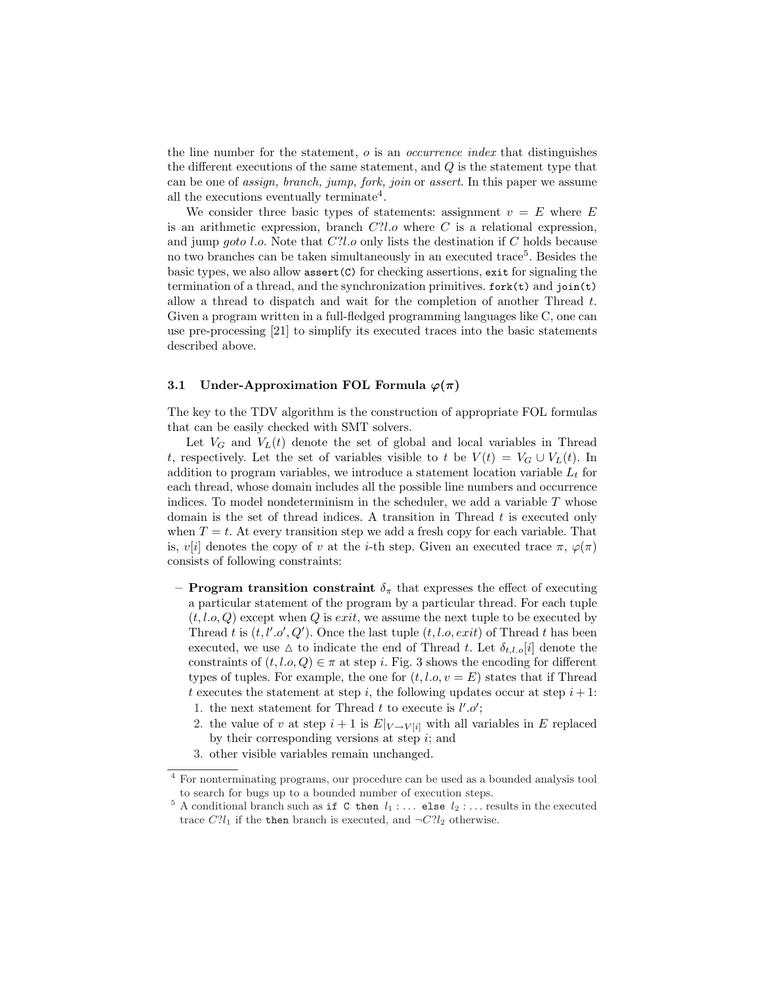the line number for the statement,  $o$  is an *occurrence index* that distinguishes the different executions of the same statement, and  $Q$  is the statement type that can be one of assign, branch, jump, fork, join or assert. In this paper we assume all the executions eventually terminate<sup>4</sup>.

We consider three basic types of statements: assignment  $v = E$  where E is an arithmetic expression, branch  $C'l.o$  where C is a relational expression, and jump goto l.o. Note that  $C'll$  only lists the destination if C holds because no two branches can be taken simultaneously in an executed trace<sup>5</sup>. Besides the basic types, we also allow assert(C) for checking assertions, exit for signaling the termination of a thread, and the synchronization primitives. fork(t) and join(t) allow a thread to dispatch and wait for the completion of another Thread  $t$ . Given a program written in a full-fledged programming languages like C, one can use pre-processing [21] to simplify its executed traces into the basic statements described above.

#### 3.1 Under-Approximation FOL Formula  $\varphi(\pi)$

The key to the TDV algorithm is the construction of appropriate FOL formulas that can be easily checked with SMT solvers.

Let  $V_G$  and  $V_L(t)$  denote the set of global and local variables in Thread t, respectively. Let the set of variables visible to t be  $V(t) = V_G \cup V_L(t)$ . In addition to program variables, we introduce a statement location variable  $L_t$  for each thread, whose domain includes all the possible line numbers and occurrence indices. To model nondeterminism in the scheduler, we add a variable  $T$  whose domain is the set of thread indices. A transition in Thread  $t$  is executed only when  $T = t$ . At every transition step we add a fresh copy for each variable. That is,  $v[i]$  denotes the copy of v at the *i*-th step. Given an executed trace  $\pi$ ,  $\varphi(\pi)$ consists of following constraints:

- **Program transition constraint**  $\delta_{\pi}$  that expresses the effect of executing a particular statement of the program by a particular thread. For each tuple  $(t, l.o, Q)$  except when Q is exit, we assume the next tuple to be executed by Thread t is  $(t, l', o', Q')$ . Once the last tuple  $(t, l.o, exit)$  of Thread t has been executed, we use  $\Delta$  to indicate the end of Thread t. Let  $\delta_{t,l.o}[i]$  denote the constraints of  $(t, l.o, Q) \in \pi$  at step i. Fig. 3 shows the encoding for different types of tuples. For example, the one for  $(t, l.o, v = E)$  states that if Thread t executes the statement at step i, the following updates occur at step  $i + 1$ :
	- 1. the next statement for Thread t to execute is  $l'.o'$ ;
	- 2. the value of v at step  $i + 1$  is  $E|_{V \to V[i]}$  with all variables in E replaced by their corresponding versions at step  $i$ ; and
	- 3. other visible variables remain unchanged.

<sup>4</sup> For nonterminating programs, our procedure can be used as a bounded analysis tool to search for bugs up to a bounded number of execution steps.

 $5$  A conditional branch such as if C then  $l_1$  :... else  $l_2$  :... results in the executed trace  $C?l_1$  if the then branch is executed, and  $\neg C?l_2$  otherwise.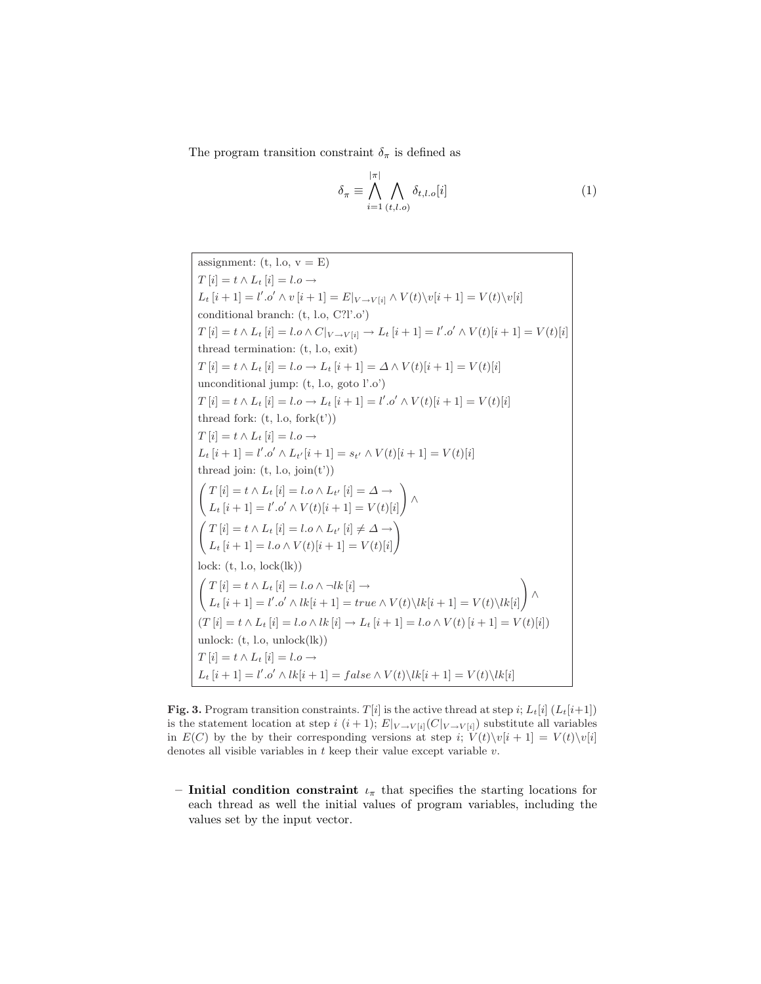The program transition constraint  $\delta_{\pi}$  is defined as

$$
\delta_{\pi} \equiv \bigwedge_{i=1}^{|\pi|} \bigwedge_{(t,l.o)} \delta_{t,l.o}[i] \tag{1}
$$

assignment: (t, l.o.,  $v = E$ )  $T[i] = t \wedge L_t[i] = l.o \rightarrow$  $L_t[i+1] = l'.o' \wedge v[i+1] = E|_{V \to V[i]} \wedge V(t) \backslash v[i+1] = V(t) \backslash v[i]$ conditional branch: (t, l.o, C?l'.o')  $T[i] = t \wedge L_t[i] = l.o \wedge C|_{V \to V[i]} \to L_t[i+1] = l'.o' \wedge V(t)[i+1] = V(t)[i]$ thread termination: (t, l.o, exit)  $T[i] = t \wedge L_t[i] = l.o \rightarrow L_t[i+1] = \Delta \wedge V(t)[i+1] = V(t)[i]$ unconditional jump: (t, l.o, goto l'.o')  $T[i] = t \wedge L_t[i] = l.o \rightarrow L_t[i+1] = l'.o' \wedge V(t)[i+1] = V(t)[i]$ thread fork:  $(t, l.o, fork(t'))$  $T[i] = t \wedge L_t[i] = l.o \rightarrow$  $L_t[i+1] = l'.o' \wedge L_{t'}[i+1] = s_{t'} \wedge V(t)[i+1] = V(t)[i]$ thread join:  $(t, l.o, join(t'))$  $\ddot{\phantom{0}}$  $T\left[i\right] = t \wedge L_t\left[i\right] = l.o \wedge L_{t'}\left[i\right] = \Delta \rightarrow$  $L_t[i+1] = l'.o' \wedge V(t)[i+1] = V(t)[i]$ !<br>! ∧  $\frac{1}{2}$  $T[i] = t \wedge L_t[i] = l.o \wedge L_{t'}[i] \neq \Delta \rightarrow$  $L_t[i+1] = l.o \wedge V(t)[i+1] = V(t)[i]$ !'<br>.  $lock: (t, l.o, lock(lk))$  $\overline{a}$  $T[i] = t \wedge L_t[i] = l.o \wedge \neg lk[i] \rightarrow$  $L_t[i+1] = l'.o' \wedge lk[i+1] = true \wedge V(t)\Bra{lk[i+1]} = V(t)\Bra{lk[i]}$ !<br>! ∧  $(T[i] = t \wedge L_t[i] = l.o \wedge lk[i] \rightarrow L_t[i+1] = l.o \wedge V(t)[i+1] = V(t)[i])$ unlock:  $(t, l.o. \text{unlock}(lk))$  $T[i] = t \wedge L_t[i] = l.o \rightarrow$  $L_t[i+1] = l'.o' \wedge lk[i+1] = false \wedge V(t)\Bigr\backslash lk[i+1] = V(t)\Bigr\backslash lk[i]$ 

Fig. 3. Program transition constraints.  $T[i]$  is the active thread at step i;  $L_t[i]$  ( $L_t[i+1]$ ) is the statement location at step i  $(i+1); E|_{V \to V[i]}(C|_{V \to V[i]})$  substitute all variables in  $E(C)$  by the by their corresponding versions at step i;  $V(t)\backslash v[i + 1] = V(t)\backslash v[i]$ denotes all visible variables in  $t$  keep their value except variable  $v$ .

– Initial condition constraint  $\iota_{\pi}$  that specifies the starting locations for each thread as well the initial values of program variables, including the values set by the input vector.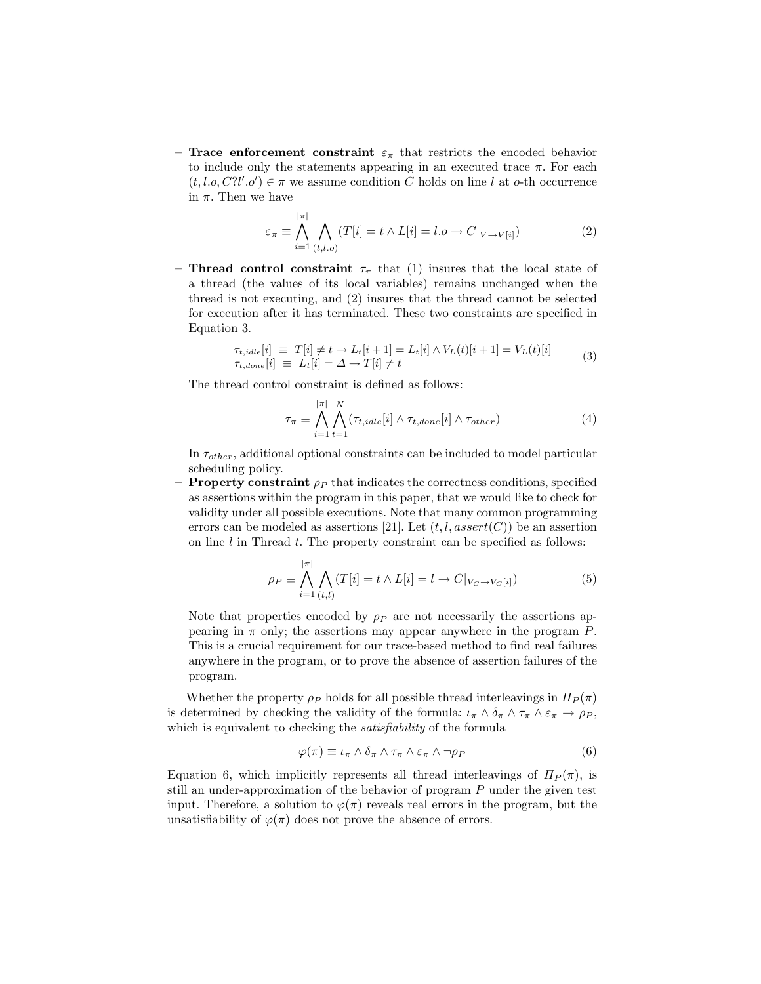– Trace enforcement constraint  $\varepsilon_{\pi}$  that restricts the encoded behavior to include only the statements appearing in an executed trace  $\pi$ . For each  $(t, l.o, C? l'. o') \in \pi$  we assume condition C holds on line l at o-th occurrence in  $\pi.$  Then we have

$$
\varepsilon_{\pi} \equiv \bigwedge_{i=1}^{|\pi|} \bigwedge_{(t,l.o)} (T[i] = t \wedge L[i] = l.o \rightarrow C|_{V \rightarrow V[i]})
$$
 (2)

– Thread control constraint  $\tau_{\pi}$  that (1) insures that the local state of a thread (the values of its local variables) remains unchanged when the thread is not executing, and (2) insures that the thread cannot be selected for execution after it has terminated. These two constraints are specified in Equation 3.

$$
\tau_{t,idle}[i] \equiv T[i] \neq t \rightarrow L_t[i+1] = L_t[i] \land V_L(t)[i+1] = V_L(t)[i]
$$
\n
$$
\tau_{t,done}[i] \equiv L_t[i] = \Delta \rightarrow T[i] \neq t
$$
\n(3)

The thread control constraint is defined as follows:

$$
\tau_{\pi} \equiv \bigwedge_{i=1}^{|\pi|} \bigwedge_{t=1}^{N} (\tau_{t,idle}[i] \wedge \tau_{t,done}[i] \wedge \tau_{other})
$$
\n(4)

In  $\tau_{other}$ , additional optional constraints can be included to model particular scheduling policy.

 $-$  **Property constraint**  $\rho_P$  that indicates the correctness conditions, specified as assertions within the program in this paper, that we would like to check for validity under all possible executions. Note that many common programming errors can be modeled as assertions [21]. Let  $(t, l, assert(C))$  be an assertion on line  $l$  in Thread  $t$ . The property constraint can be specified as follows:

$$
\rho_P \equiv \bigwedge_{i=1}^{|\pi|} \bigwedge_{(t,l)} (T[i] = t \wedge L[i] = l \rightarrow C|_{V_C \rightarrow V_C[i]}) \tag{5}
$$

Note that properties encoded by  $\rho_P$  are not necessarily the assertions appearing in  $\pi$  only; the assertions may appear anywhere in the program P. This is a crucial requirement for our trace-based method to find real failures anywhere in the program, or to prove the absence of assertion failures of the program.

Whether the property  $\rho_P$  holds for all possible thread interleavings in  $\Pi_P(\pi)$ is determined by checking the validity of the formula:  $\iota_{\pi} \wedge \delta_{\pi} \wedge \tau_{\pi} \wedge \varepsilon_{\pi} \rightarrow \rho_{P}$ , which is equivalent to checking the *satisfiability* of the formula

$$
\varphi(\pi) \equiv \iota_{\pi} \wedge \delta_{\pi} \wedge \tau_{\pi} \wedge \varepsilon_{\pi} \wedge \neg \rho_{P} \tag{6}
$$

Equation 6, which implicitly represents all thread interleavings of  $\Pi_P(\pi)$ , is still an under-approximation of the behavior of program P under the given test input. Therefore, a solution to  $\varphi(\pi)$  reveals real errors in the program, but the unsatisfiability of  $\varphi(\pi)$  does not prove the absence of errors.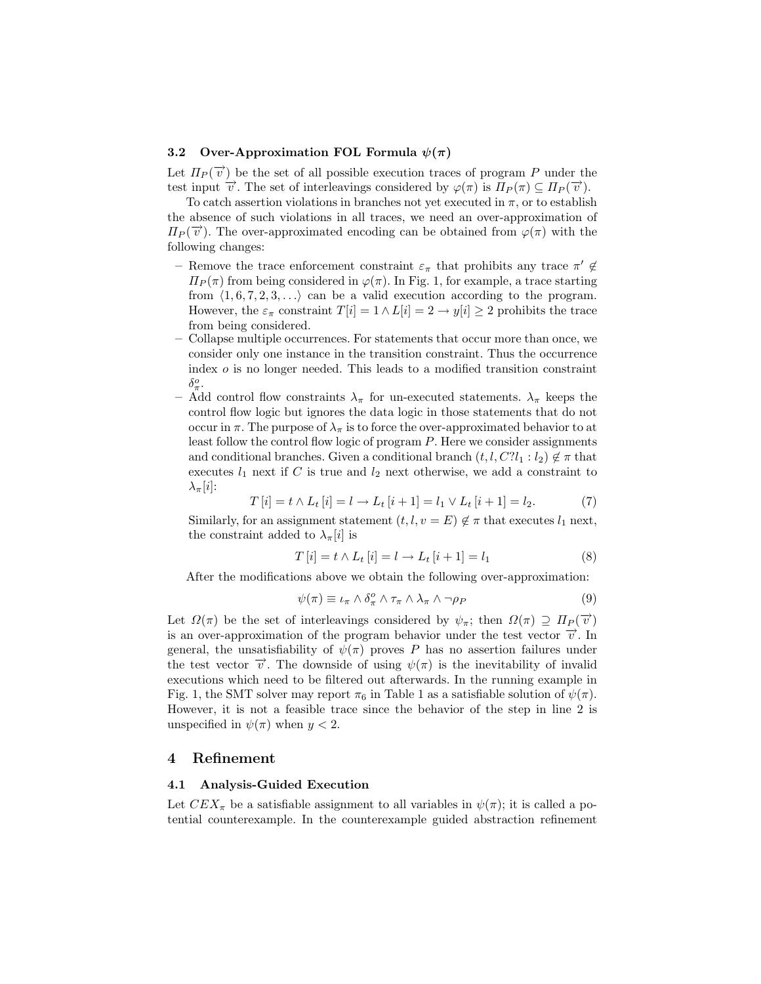#### 3.2 Over-Approximation FOL Formula  $\psi(\pi)$

Let  $\Pi_P(\vec{v})$  be the set of all possible execution traces of program P under the test input  $\vec{v}$ . The set of interleavings considered by  $\varphi(\pi)$  is  $\Pi_P(\pi) \subseteq \Pi_P(\vec{v})$ .

To catch assertion violations in branches not yet executed in  $\pi$ , or to establish the absence of such violations in all traces, we need an over-approximation of  $\Pi_P(\vec{v})$ . The over-approximated encoding can be obtained from  $\varphi(\pi)$  with the following changes:

- Remove the trace enforcement constraint  $\varepsilon_{\pi}$  that prohibits any trace  $\pi' \notin$  $\Pi_P(\pi)$  from being considered in  $\varphi(\pi)$ . In Fig. 1, for example, a trace starting from  $\langle 1, 6, 7, 2, 3, \ldots \rangle$  can be a valid execution according to the program. However, the  $\varepsilon_{\pi}$  constraint  $T[i] = 1 \wedge L[i] = 2 \rightarrow y[i] \geq 2$  prohibits the trace from being considered.
- Collapse multiple occurrences. For statements that occur more than once, we consider only one instance in the transition constraint. Thus the occurrence index o is no longer needed. This leads to a modified transition constraint  $\delta^o_\pi$ .
- Add control flow constraints  $\lambda_{\pi}$  for un-executed statements.  $\lambda_{\pi}$  keeps the control flow logic but ignores the data logic in those statements that do not occur in  $\pi$ . The purpose of  $\lambda_{\pi}$  is to force the over-approximated behavior to at least follow the control flow logic of program P. Here we consider assignments and conditional branches. Given a conditional branch  $(t, l, C?l_1 : l_2) \notin \pi$  that executes  $l_1$  next if C is true and  $l_2$  next otherwise, we add a constraint to  $\lambda_{\pi}[i]$ :

$$
T[i] = t \wedge L_t[i] = l \to L_t[i+1] = l_1 \vee L_t[i+1] = l_2. \tag{7}
$$

Similarly, for an assignment statement  $(t, l, v = E) \notin \pi$  that executes  $l_1$  next, the constraint added to  $\lambda_{\pi}[i]$  is

$$
T[i] = t \wedge L_t[i] = l \to L_t[i+1] = l_1 \tag{8}
$$

After the modifications above we obtain the following over-approximation:

$$
\psi(\pi) \equiv \iota_{\pi} \wedge \delta_{\pi}^{o} \wedge \tau_{\pi} \wedge \lambda_{\pi} \wedge \neg \rho_{P} \tag{9}
$$

Let  $\Omega(\pi)$  be the set of interleavings considered by  $\psi_{\pi}$ ; then  $\Omega(\pi) \supseteq \Pi_P(\vec{\upsilon})$ is an over-approximation of the program behavior under the test vector  $\vec{v}$ . In general, the unsatisfiability of  $\psi(\pi)$  proves P has no assertion failures under the test vector  $\vec{v}$ . The downside of using  $\psi(\pi)$  is the inevitability of invalid executions which need to be filtered out afterwards. In the running example in Fig. 1, the SMT solver may report  $\pi_6$  in Table 1 as a satisfiable solution of  $\psi(\pi)$ . However, it is not a feasible trace since the behavior of the step in line 2 is unspecified in  $\psi(\pi)$  when  $y < 2$ .

#### 4 Refinement

#### 4.1 Analysis-Guided Execution

Let  $CEX_{\pi}$  be a satisfiable assignment to all variables in  $\psi(\pi)$ ; it is called a potential counterexample. In the counterexample guided abstraction refinement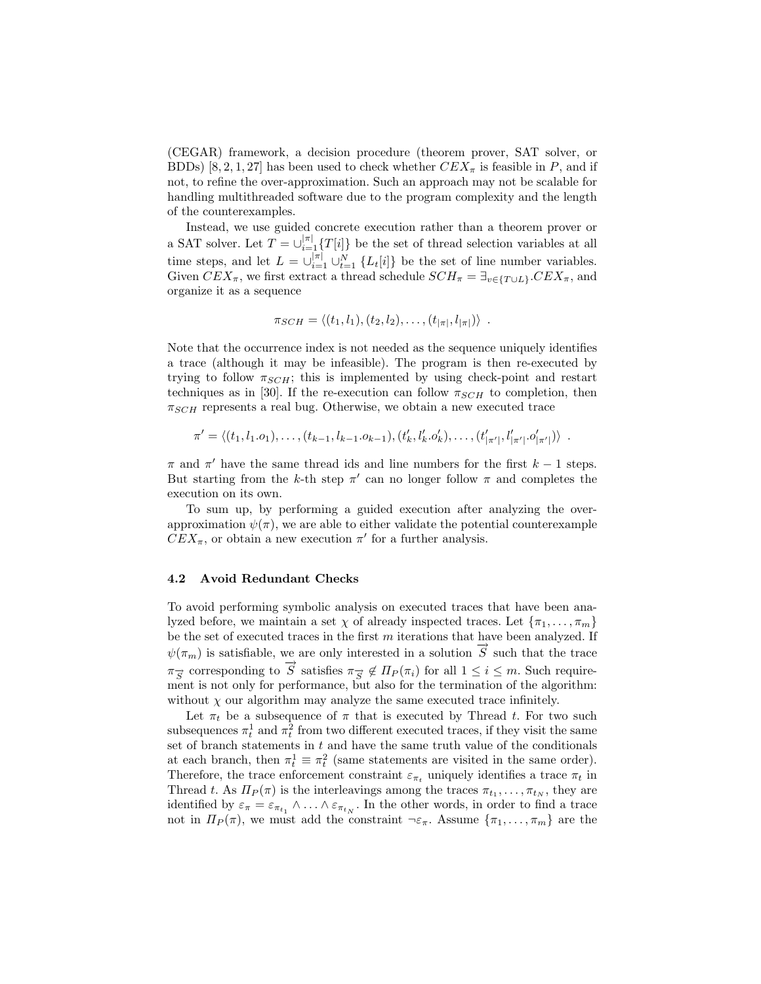(CEGAR) framework, a decision procedure (theorem prover, SAT solver, or BDDs) [8, 2, 1, 27] has been used to check whether  $CEX_{\pi}$  is feasible in P, and if not, to refine the over-approximation. Such an approach may not be scalable for handling multithreaded software due to the program complexity and the length of the counterexamples.

Instead, we use guided concrete execution rather than a theorem prover or a SAT solver. Let  $T = \bigcup_{i=1}^{|\pi|} {T[i]}$  be the set of thread selection variables at all time steps, and let  $L = \bigcup_{i=1}^{|\pi|} \bigcup_{t=1}^{N} \{L_t[i]\}\$ be the set of line number variables. Given  $CEX_{\pi}$ , we first extract a thread schedule  $SCH_{\pi} = \exists_{v \in \{T \cup L\}}.CEX_{\pi}$ , and organize it as a sequence

$$
\pi_{SCH} = \langle (t_1, l_1), (t_2, l_2), \dots, (t_{|\pi|}, l_{|\pi|}) \rangle
$$

Note that the occurrence index is not needed as the sequence uniquely identifies a trace (although it may be infeasible). The program is then re-executed by trying to follow  $\pi_{SCH}$ ; this is implemented by using check-point and restart techniques as in [30]. If the re-execution can follow  $\pi_{SCH}$  to completion, then  $\pi_{SCH}$  represents a real bug. Otherwise, we obtain a new executed trace

$$
\pi' = \langle (t_1, l_1 \ldots, t_{k-1}, l_{k-1} \ldots, t_{k-1}) \rangle, (t'_k, l'_k \ldots, t'_k, \ldots, t'_{|\pi'|}, l'_{|\pi'|} \ldots, l'_{|\pi'|}) \rangle .
$$

 $\pi$  and  $\pi'$  have the same thread ids and line numbers for the first  $k - 1$  steps. But starting from the k-th step  $\pi'$  can no longer follow  $\pi$  and completes the execution on its own.

To sum up, by performing a guided execution after analyzing the overapproximation  $\psi(\pi)$ , we are able to either validate the potential counterexample  $CEX_{\pi}$ , or obtain a new execution  $\pi'$  for a further analysis.

#### 4.2 Avoid Redundant Checks

To avoid performing symbolic analysis on executed traces that have been analyzed before, we maintain a set  $\chi$  of already inspected traces. Let  $\{\pi_1, \ldots, \pi_m\}$ be the set of executed traces in the first  $m$  iterations that have been analyzed. If  $\psi(\pi_m)$  is satisfiable, we are only interested in a solution  $\vec{S}$  such that the trace  $\pi_{\overline{S}}$  corresponding to  $\overline{S}$  satisfies  $\pi_{\overline{S}} \notin \Pi_P(\pi_i)$  for all  $1 \leq i \leq m$ . Such requirement is not only for performance, but also for the termination of the algorithm: without  $\chi$  our algorithm may analyze the same executed trace infinitely.

Let  $\pi_t$  be a subsequence of  $\pi$  that is executed by Thread t. For two such subsequences  $\pi_t^1$  and  $\pi_t^2$  from two different executed traces, if they visit the same set of branch statements in  $t$  and have the same truth value of the conditionals at each branch, then  $\pi_t^1 \equiv \pi_t^2$  (same statements are visited in the same order). Therefore, the trace enforcement constraint  $\varepsilon_{\pi_t}$  uniquely identifies a trace  $\pi_t$  in Thread t. As  $\Pi_P(\pi)$  is the interleavings among the traces  $\pi_{t_1}, \ldots, \pi_{t_N}$ , they are identified by  $\varepsilon_{\pi} = \varepsilon_{\pi_{t_1}} \wedge \ldots \wedge \varepsilon_{\pi_{t_N}}$ . In the other words, in order to find a trace not in  $\Pi_P(\pi)$ , we must add the constraint  $\neg \varepsilon_\pi$ . Assume  $\{\pi_1, \ldots, \pi_m\}$  are the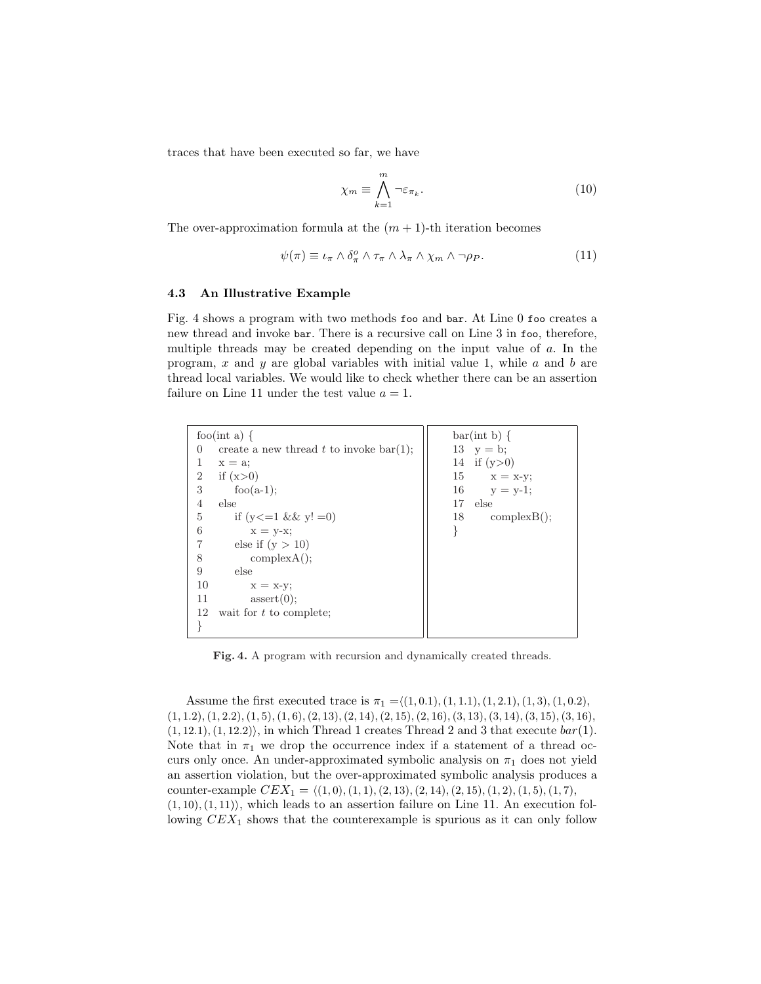traces that have been executed so far, we have

$$
\chi_m \equiv \bigwedge_{k=1}^m \neg \varepsilon_{\pi_k}.\tag{10}
$$

The over-approximation formula at the  $(m + 1)$ -th iteration becomes

$$
\psi(\pi) \equiv \iota_{\pi} \wedge \delta_{\pi}^{o} \wedge \tau_{\pi} \wedge \lambda_{\pi} \wedge \chi_{m} \wedge \neg \rho_{P}. \tag{11}
$$

#### 4.3 An Illustrative Example

Fig. 4 shows a program with two methods foo and bar. At Line 0 foo creates a new thread and invoke bar. There is a recursive call on Line 3 in foo, therefore, multiple threads may be created depending on the input value of a. In the program,  $x$  and  $y$  are global variables with initial value 1, while  $a$  and  $b$  are thread local variables. We would like to check whether there can be an assertion failure on Line 11 under the test value  $a = 1$ .

| foo(int a) $\{$                                       | $bar(int b) \{$      |
|-------------------------------------------------------|----------------------|
| create a new thread $t$ to invoke bar(1);<br>$\theta$ | 13 $y = b$ ;         |
| 1<br>$x = a$ ;                                        | 14 if $(y>0)$        |
| if $(x>0)$<br>$\overline{2}$                          | 15 $x = x-y;$        |
| 3<br>foo $(a-1)$ ;                                    | 16 $y = y-1$ ;       |
| 4<br>else                                             | 17<br>else           |
| 5<br>if $(y \leq 1 \&\& y! = 0)$                      | 18<br>$complexB()$ ; |
| 6<br>$x = y-x;$                                       |                      |
| else if $(y > 10)$<br>7                               |                      |
| 8<br>complexA();                                      |                      |
| 9<br>else                                             |                      |
| 10<br>$x = x-y;$                                      |                      |
| 11<br>assert(0);                                      |                      |
| 12<br>wait for $t$ to complete;                       |                      |
|                                                       |                      |

Fig. 4. A program with recursion and dynamically created threads.

Assume the first executed trace is  $\pi_1 = \langle (1, 0.1), (1, 1.1), (1, 2.1), (1, 3), (1, 0.2),$  $(1, 1.2), (1, 2.2), (1, 5), (1, 6), (2, 13), (2, 14), (2, 15), (2, 16), (3, 13), (3, 14), (3, 15), (3, 16),$  $(1, 12.1), (1, 12.2)$ , in which Thread 1 creates Thread 2 and 3 that execute  $bar(1)$ . Note that in  $\pi_1$  we drop the occurrence index if a statement of a thread occurs only once. An under-approximated symbolic analysis on  $\pi_1$  does not yield an assertion violation, but the over-approximated symbolic analysis produces a counter-example  $CEX_1 = \langle (1, 0), (1, 1), (2, 13), (2, 14), (2, 15), (1, 2), (1, 5), (1, 7),$  $(1, 10), (1, 11)$ , which leads to an assertion failure on Line 11. An execution following  $CEX_1$  shows that the counterexample is spurious as it can only follow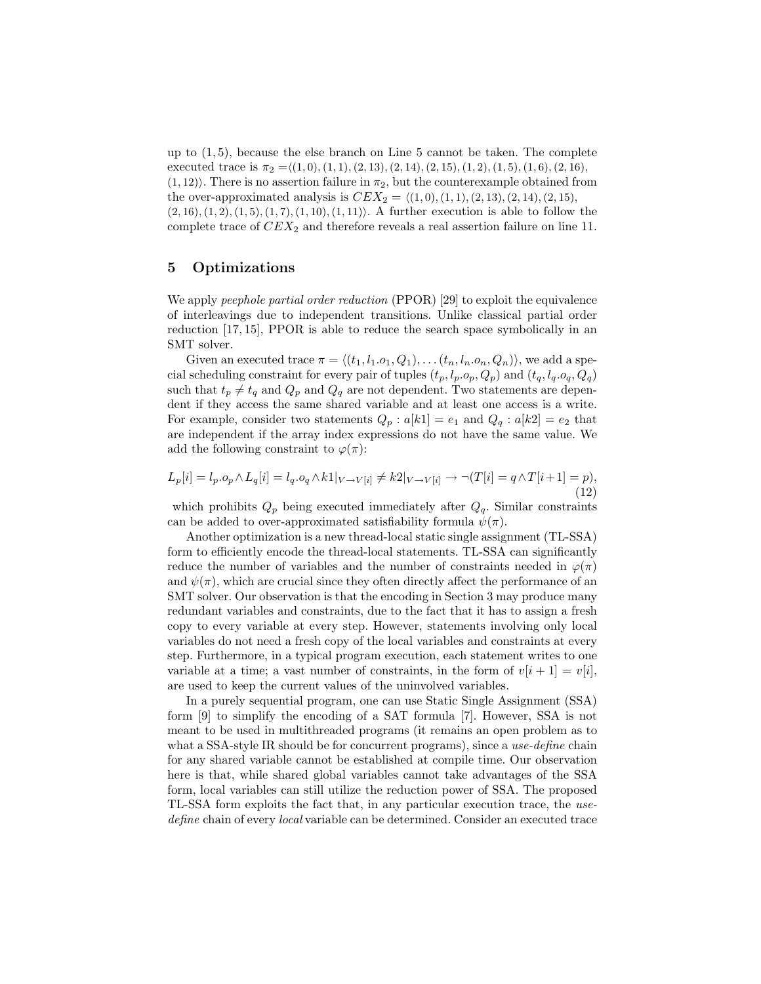up to  $(1, 5)$ , because the else branch on Line 5 cannot be taken. The complete executed trace is  $\pi_2 = \langle (1, 0), (1, 1), (2, 13), (2, 14), (2, 15), (1, 2), (1, 5), (1, 6), (2, 16),$  $(1, 12)$ . There is no assertion failure in  $\pi_2$ , but the counterexample obtained from the over-approximated analysis is  $CEX_2 = \langle (1, 0), (1, 1), (2, 13), (2, 14), (2, 15),$  $(2, 16), (1, 2), (1, 5), (1, 7), (1, 10), (1, 11)\$ . A further execution is able to follow the complete trace of  $CEX_2$  and therefore reveals a real assertion failure on line 11.

# 5 Optimizations

We apply *peephole partial order reduction* (PPOR) [29] to exploit the equivalence of interleavings due to independent transitions. Unlike classical partial order reduction [17, 15], PPOR is able to reduce the search space symbolically in an SMT solver.

Given an executed trace  $\pi = \langle (t_1, l_1.o_1, Q_1), \ldots (t_n, l_n.o_n, Q_n) \rangle$ , we add a special scheduling constraint for every pair of tuples  $(t_p, l_p, o_p, Q_p)$  and  $(t_q, l_q, o_q, Q_q)$ such that  $t_p \neq t_q$  and  $Q_p$  and  $Q_q$  are not dependent. Two statements are dependent if they access the same shared variable and at least one access is a write. For example, consider two statements  $Q_p : a[k1] = e_1$  and  $Q_q : a[k2] = e_2$  that are independent if the array index expressions do not have the same value. We add the following constraint to  $\varphi(\pi)$ :

$$
L_p[i] = l_p \cdot o_p \wedge L_q[i] = l_q \cdot o_q \wedge k1|_{V \to V[i]} \neq k2|_{V \to V[i]} \to \neg(T[i] = q \wedge T[i+1] = p),\tag{12}
$$

which prohibits  $Q_p$  being executed immediately after  $Q_q$ . Similar constraints can be added to over-approximated satisfiability formula  $\psi(\pi)$ .

Another optimization is a new thread-local static single assignment (TL-SSA) form to efficiently encode the thread-local statements. TL-SSA can significantly reduce the number of variables and the number of constraints needed in  $\varphi(\pi)$ and  $\psi(\pi)$ , which are crucial since they often directly affect the performance of an SMT solver. Our observation is that the encoding in Section 3 may produce many redundant variables and constraints, due to the fact that it has to assign a fresh copy to every variable at every step. However, statements involving only local variables do not need a fresh copy of the local variables and constraints at every step. Furthermore, in a typical program execution, each statement writes to one variable at a time; a vast number of constraints, in the form of  $v[i + 1] = v[i]$ , are used to keep the current values of the uninvolved variables.

In a purely sequential program, one can use Static Single Assignment (SSA) form [9] to simplify the encoding of a SAT formula [7]. However, SSA is not meant to be used in multithreaded programs (it remains an open problem as to what a SSA-style IR should be for concurrent programs), since a use-define chain for any shared variable cannot be established at compile time. Our observation here is that, while shared global variables cannot take advantages of the SSA form, local variables can still utilize the reduction power of SSA. The proposed TL-SSA form exploits the fact that, in any particular execution trace, the usedefine chain of every local variable can be determined. Consider an executed trace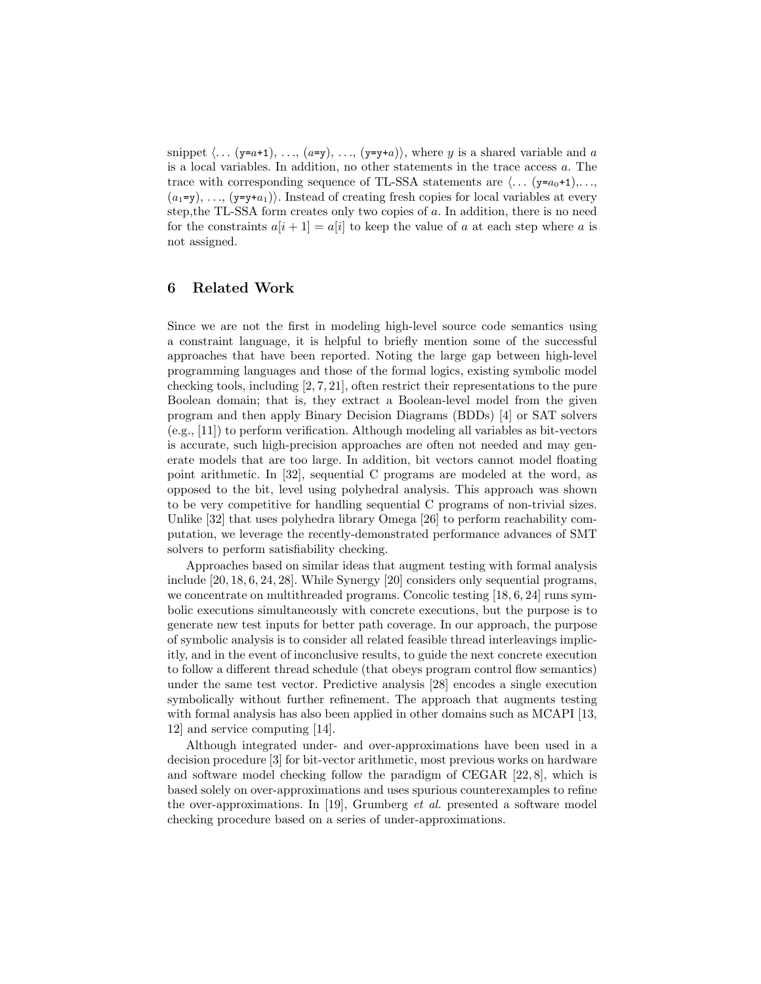snippet  $\langle \ldots (y=a+1), \ldots, (a-y), \ldots (y=y+a) \rangle$ , where y is a shared variable and a is a local variables. In addition, no other statements in the trace access a. The trace with corresponding sequence of TL-SSA statements are  $\langle \ldots (y=a_0+1), \ldots,$  $(a_1=y), \ldots, (y=y+a_1)$ . Instead of creating fresh copies for local variables at every step,the TL-SSA form creates only two copies of a. In addition, there is no need for the constraints  $a[i + 1] = a[i]$  to keep the value of a at each step where a is not assigned.

# 6 Related Work

Since we are not the first in modeling high-level source code semantics using a constraint language, it is helpful to briefly mention some of the successful approaches that have been reported. Noting the large gap between high-level programming languages and those of the formal logics, existing symbolic model checking tools, including [2, 7, 21], often restrict their representations to the pure Boolean domain; that is, they extract a Boolean-level model from the given program and then apply Binary Decision Diagrams (BDDs) [4] or SAT solvers (e.g., [11]) to perform verification. Although modeling all variables as bit-vectors is accurate, such high-precision approaches are often not needed and may generate models that are too large. In addition, bit vectors cannot model floating point arithmetic. In [32], sequential C programs are modeled at the word, as opposed to the bit, level using polyhedral analysis. This approach was shown to be very competitive for handling sequential C programs of non-trivial sizes. Unlike [32] that uses polyhedra library Omega [26] to perform reachability computation, we leverage the recently-demonstrated performance advances of SMT solvers to perform satisfiability checking.

Approaches based on similar ideas that augment testing with formal analysis include [20, 18, 6, 24, 28]. While Synergy [20] considers only sequential programs, we concentrate on multithreaded programs. Concolic testing [18, 6, 24] runs symbolic executions simultaneously with concrete executions, but the purpose is to generate new test inputs for better path coverage. In our approach, the purpose of symbolic analysis is to consider all related feasible thread interleavings implicitly, and in the event of inconclusive results, to guide the next concrete execution to follow a different thread schedule (that obeys program control flow semantics) under the same test vector. Predictive analysis [28] encodes a single execution symbolically without further refinement. The approach that augments testing with formal analysis has also been applied in other domains such as MCAPI [13, 12] and service computing [14].

Although integrated under- and over-approximations have been used in a decision procedure [3] for bit-vector arithmetic, most previous works on hardware and software model checking follow the paradigm of CEGAR [22, 8], which is based solely on over-approximations and uses spurious counterexamples to refine the over-approximations. In [19], Grumberg et al. presented a software model checking procedure based on a series of under-approximations.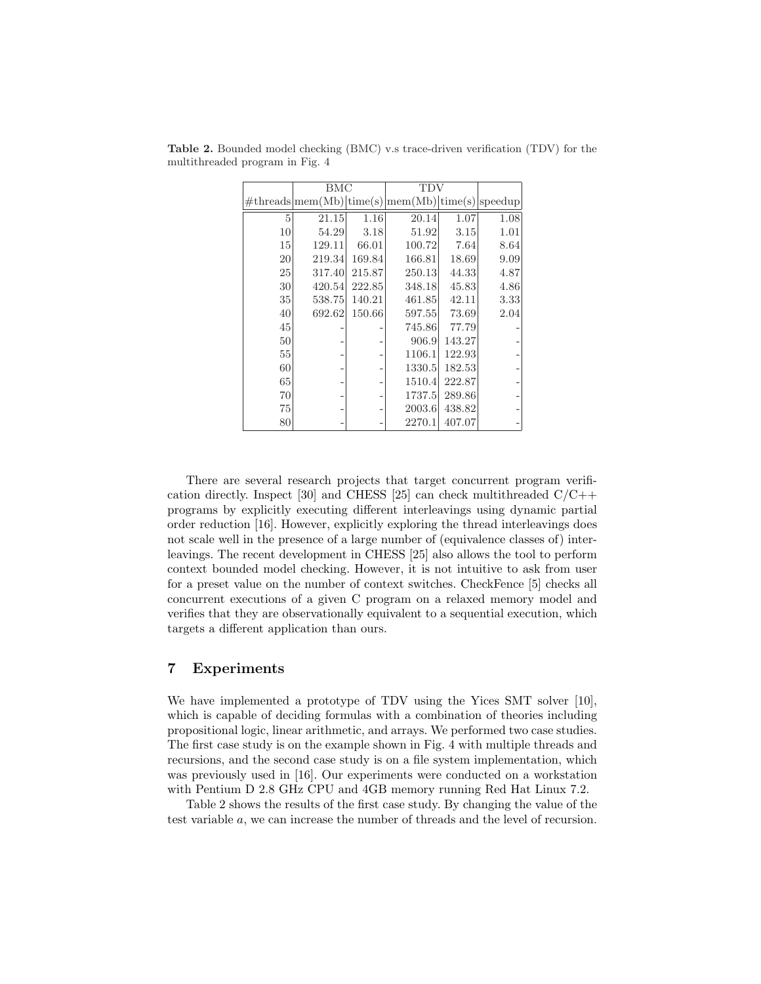|    | <b>BMC</b> |        | TDV                                                  |        |      |
|----|------------|--------|------------------------------------------------------|--------|------|
|    |            |        | $\#threads mem(Mb) time(s) mem(Mb) time(s) speedup $ |        |      |
| 5  | 21.15      | 1.16   | 20.14                                                | 1.07   | 1.08 |
| 10 | 54.29      | 3.18   | 51.92                                                | 3.15   | 1.01 |
| 15 | 129.11     | 66.01  | 100.72                                               | 7.64   | 8.64 |
| 20 | 219.34     | 169.84 | 166.81                                               | 18.69  | 9.09 |
| 25 | 317.40     | 215.87 | 250.13                                               | 44.33  | 4.87 |
| 30 | 420.54     | 222.85 | 348.18                                               | 45.83  | 4.86 |
| 35 | 538.75     | 140.21 | 461.85                                               | 42.11  | 3.33 |
| 40 | 692.62     | 150.66 | 597.55                                               | 73.69  | 2.04 |
| 45 |            |        | 745.86                                               | 77.79  |      |
| 50 |            |        | 906.9                                                | 143.27 |      |
| 55 |            |        | 1106.1                                               | 122.93 |      |
| 60 |            |        | 1330.5                                               | 182.53 |      |
| 65 |            |        | 1510.4                                               | 222.87 |      |
| 70 |            |        | 1737.5                                               | 289.86 |      |
| 75 |            |        | 2003.6                                               | 438.82 |      |
| 80 |            |        | 2270.1                                               | 407.07 |      |

Table 2. Bounded model checking (BMC) v.s trace-driven verification (TDV) for the multithreaded program in Fig. 4

There are several research projects that target concurrent program verification directly. Inspect [30] and CHESS [25] can check multithreaded  $C/C++$ programs by explicitly executing different interleavings using dynamic partial order reduction [16]. However, explicitly exploring the thread interleavings does not scale well in the presence of a large number of (equivalence classes of) interleavings. The recent development in CHESS [25] also allows the tool to perform context bounded model checking. However, it is not intuitive to ask from user for a preset value on the number of context switches. CheckFence [5] checks all concurrent executions of a given C program on a relaxed memory model and verifies that they are observationally equivalent to a sequential execution, which targets a different application than ours.

# 7 Experiments

We have implemented a prototype of TDV using the Yices SMT solver [10], which is capable of deciding formulas with a combination of theories including propositional logic, linear arithmetic, and arrays. We performed two case studies. The first case study is on the example shown in Fig. 4 with multiple threads and recursions, and the second case study is on a file system implementation, which was previously used in [16]. Our experiments were conducted on a workstation with Pentium D 2.8 GHz CPU and 4GB memory running Red Hat Linux 7.2.

Table 2 shows the results of the first case study. By changing the value of the test variable a, we can increase the number of threads and the level of recursion.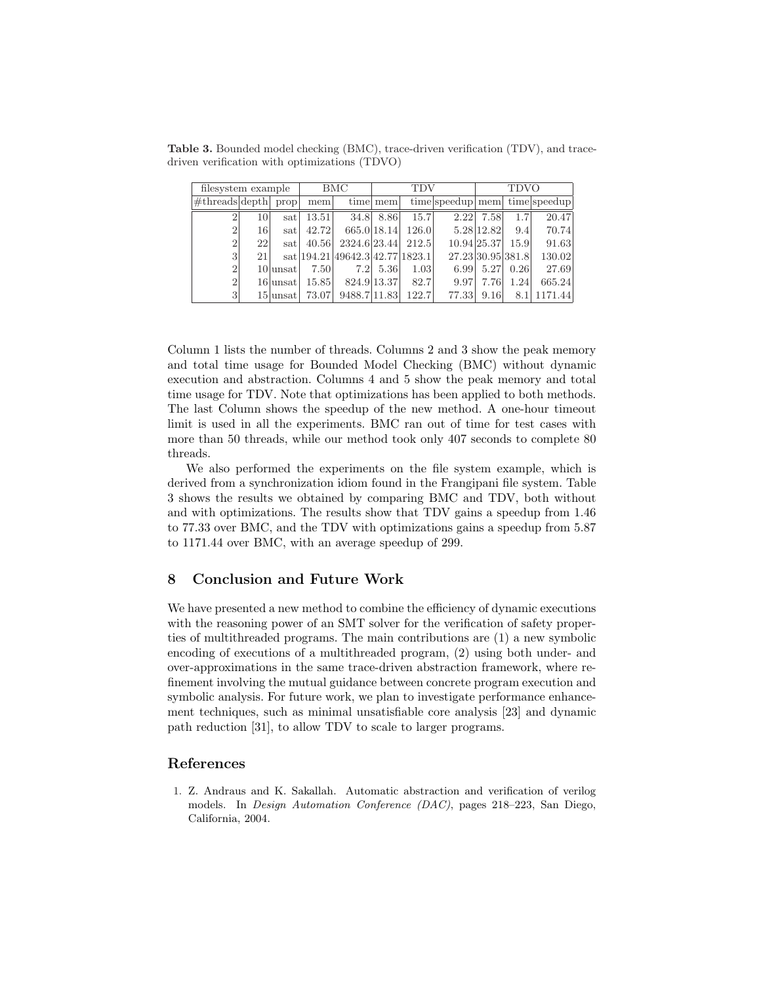Table 3. Bounded model checking (BMC), trace-driven verification (TDV), and tracedriven verification with optimizations (TDVO)

| filesystem example                          |                 |             |       | BMC                                 | <b>TDV</b>  |       |                   | <b>TDVO</b> |      |              |
|---------------------------------------------|-----------------|-------------|-------|-------------------------------------|-------------|-------|-------------------|-------------|------|--------------|
| $\sqrt{\text{#threads} \text{depth} }$ prop |                 |             | mem   |                                     | time mem    |       | time speedup mem  |             |      | time speedup |
| $\overline{2}$                              | 10 <sup>1</sup> | satl        | 13.51 | 34.8                                | 8.86        | 15.7  | 2.22              | 7.58        | 1.7  | 20.47        |
| $\overline{2}$                              | 16              | satl        | 42.72 |                                     | 665.0 18.14 | 126.0 |                   | 5.28 12.82  | 9.4  | 70.74        |
| $\overline{2}$                              | 22              | satl        | 40.56 | 2324.6 23.44                        |             | 212.5 |                   | 10.94 25.37 | 15.9 | 91.63        |
| 3                                           | 21              |             |       | sat $ 194.21 49642.3 42.77 1823.1 $ |             |       | 27.23 30.95 381.8 |             |      | 130.02       |
| $\overline{2}$                              |                 | $10$  unsat | 7.50  | 7.2                                 | 5.36        | 1.03  | 6.99              | 5.27        | 0.26 | 27.69        |
| $\overline{2}$                              |                 | 16 unsat    | 15.85 |                                     | 824.9 13.37 | 82.7  | 9.97              | 7.76        | 1.24 | 665.24       |
| 3                                           |                 | 15 lunsat   | 73.07 | 9488.7 11.83                        |             | 122.7 | 77.33             | 9.16        | 8.1  | 1171.44      |

Column 1 lists the number of threads. Columns 2 and 3 show the peak memory and total time usage for Bounded Model Checking (BMC) without dynamic execution and abstraction. Columns 4 and 5 show the peak memory and total time usage for TDV. Note that optimizations has been applied to both methods. The last Column shows the speedup of the new method. A one-hour timeout limit is used in all the experiments. BMC ran out of time for test cases with more than 50 threads, while our method took only 407 seconds to complete 80 threads.

We also performed the experiments on the file system example, which is derived from a synchronization idiom found in the Frangipani file system. Table 3 shows the results we obtained by comparing BMC and TDV, both without and with optimizations. The results show that TDV gains a speedup from 1.46 to 77.33 over BMC, and the TDV with optimizations gains a speedup from 5.87 to 1171.44 over BMC, with an average speedup of 299.

# 8 Conclusion and Future Work

We have presented a new method to combine the efficiency of dynamic executions with the reasoning power of an SMT solver for the verification of safety properties of multithreaded programs. The main contributions are (1) a new symbolic encoding of executions of a multithreaded program, (2) using both under- and over-approximations in the same trace-driven abstraction framework, where refinement involving the mutual guidance between concrete program execution and symbolic analysis. For future work, we plan to investigate performance enhancement techniques, such as minimal unsatisfiable core analysis [23] and dynamic path reduction [31], to allow TDV to scale to larger programs.

# References

1. Z. Andraus and K. Sakallah. Automatic abstraction and verification of verilog models. In Design Automation Conference (DAC), pages 218–223, San Diego, California, 2004.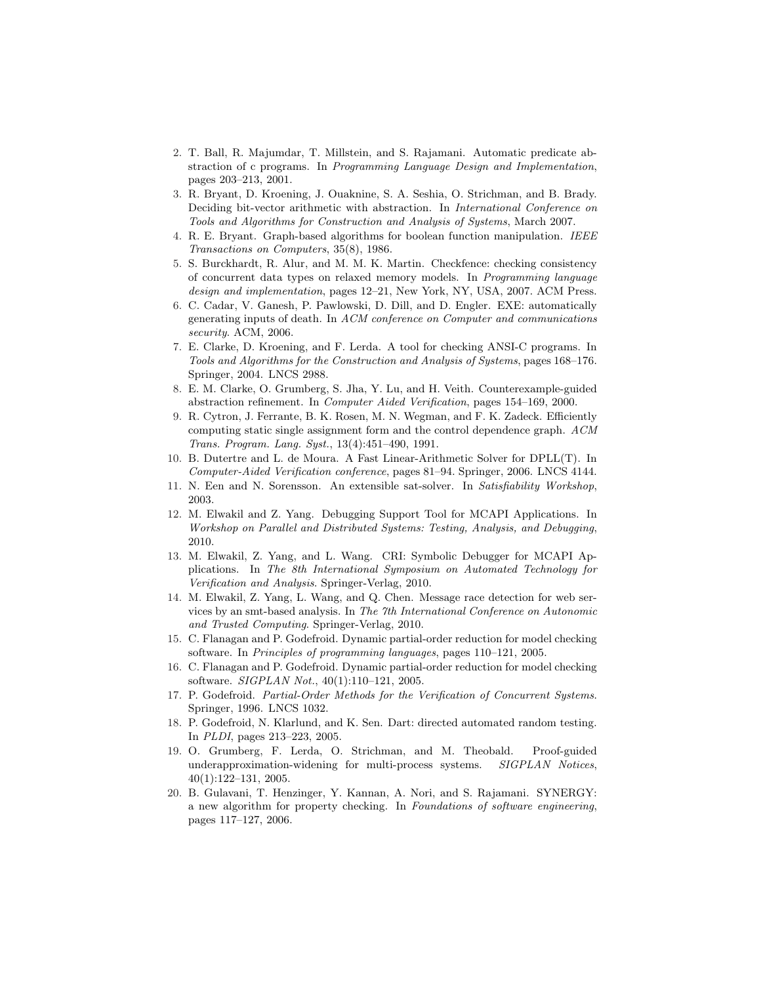- 2. T. Ball, R. Majumdar, T. Millstein, and S. Rajamani. Automatic predicate abstraction of c programs. In Programming Language Design and Implementation, pages 203–213, 2001.
- 3. R. Bryant, D. Kroening, J. Ouaknine, S. A. Seshia, O. Strichman, and B. Brady. Deciding bit-vector arithmetic with abstraction. In International Conference on Tools and Algorithms for Construction and Analysis of Systems, March 2007.
- 4. R. E. Bryant. Graph-based algorithms for boolean function manipulation. IEEE Transactions on Computers, 35(8), 1986.
- 5. S. Burckhardt, R. Alur, and M. M. K. Martin. Checkfence: checking consistency of concurrent data types on relaxed memory models. In Programming language design and implementation, pages 12–21, New York, NY, USA, 2007. ACM Press.
- 6. C. Cadar, V. Ganesh, P. Pawlowski, D. Dill, and D. Engler. EXE: automatically generating inputs of death. In ACM conference on Computer and communications security. ACM, 2006.
- 7. E. Clarke, D. Kroening, and F. Lerda. A tool for checking ANSI-C programs. In Tools and Algorithms for the Construction and Analysis of Systems, pages 168–176. Springer, 2004. LNCS 2988.
- 8. E. M. Clarke, O. Grumberg, S. Jha, Y. Lu, and H. Veith. Counterexample-guided abstraction refinement. In Computer Aided Verification, pages 154–169, 2000.
- 9. R. Cytron, J. Ferrante, B. K. Rosen, M. N. Wegman, and F. K. Zadeck. Efficiently computing static single assignment form and the control dependence graph. ACM Trans. Program. Lang. Syst., 13(4):451–490, 1991.
- 10. B. Dutertre and L. de Moura. A Fast Linear-Arithmetic Solver for DPLL(T). In Computer-Aided Verification conference, pages 81–94. Springer, 2006. LNCS 4144.
- 11. N. Een and N. Sorensson. An extensible sat-solver. In Satisfiability Workshop, 2003.
- 12. M. Elwakil and Z. Yang. Debugging Support Tool for MCAPI Applications. In Workshop on Parallel and Distributed Systems: Testing, Analysis, and Debugging, 2010.
- 13. M. Elwakil, Z. Yang, and L. Wang. CRI: Symbolic Debugger for MCAPI Applications. In The 8th International Symposium on Automated Technology for Verification and Analysis. Springer-Verlag, 2010.
- 14. M. Elwakil, Z. Yang, L. Wang, and Q. Chen. Message race detection for web services by an smt-based analysis. In The 7th International Conference on Autonomic and Trusted Computing. Springer-Verlag, 2010.
- 15. C. Flanagan and P. Godefroid. Dynamic partial-order reduction for model checking software. In Principles of programming languages, pages 110–121, 2005.
- 16. C. Flanagan and P. Godefroid. Dynamic partial-order reduction for model checking software. SIGPLAN Not., 40(1):110–121, 2005.
- 17. P. Godefroid. Partial-Order Methods for the Verification of Concurrent Systems. Springer, 1996. LNCS 1032.
- 18. P. Godefroid, N. Klarlund, and K. Sen. Dart: directed automated random testing. In PLDI, pages 213–223, 2005.
- 19. O. Grumberg, F. Lerda, O. Strichman, and M. Theobald. Proof-guided underapproximation-widening for multi-process systems. SIGPLAN Notices, 40(1):122–131, 2005.
- 20. B. Gulavani, T. Henzinger, Y. Kannan, A. Nori, and S. Rajamani. SYNERGY: a new algorithm for property checking. In Foundations of software engineering, pages 117–127, 2006.